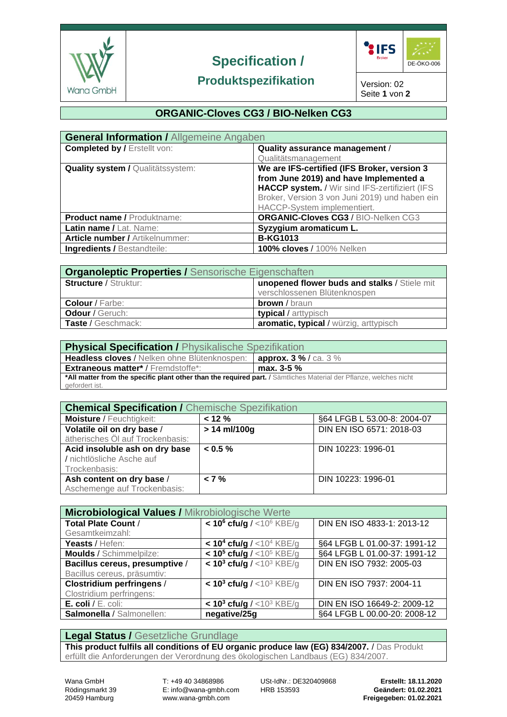

# **Specification /**



# **Produktspezifikation**

Version: 02 Seite **1** von **2**

# **ORGANIC-Cloves CG3 / BIO-Nelken CG3**

| <b>General Information / Allgemeine Angaben</b> |                                                |  |  |
|-------------------------------------------------|------------------------------------------------|--|--|
| <b>Completed by / Erstellt von:</b>             | Quality assurance management /                 |  |  |
|                                                 | Qualitätsmanagement                            |  |  |
| <b>Quality system / Qualitätssystem:</b>        | We are IFS-certified (IFS Broker, version 3    |  |  |
|                                                 | from June 2019) and have Implemented a         |  |  |
|                                                 | HACCP system. / Wir sind IFS-zertifiziert (IFS |  |  |
|                                                 | Broker, Version 3 von Juni 2019) und haben ein |  |  |
|                                                 | HACCP-System implementiert.                    |  |  |
| <b>Product name / Produktname:</b>              | ORGANIC-Cloves CG3 / BIO-Nelken CG3            |  |  |
| Latin name / Lat. Name:                         | Syzygium aromaticum L.                         |  |  |
| <b>Article number / Artikelnummer:</b>          | <b>B-KG1013</b>                                |  |  |
| <b>Ingredients / Bestandteile:</b>              | <b>100% cloves / 100% Nelken</b>               |  |  |

| <b>Organoleptic Properties / Sensorische Eigenschaften</b> |                                              |  |  |
|------------------------------------------------------------|----------------------------------------------|--|--|
| <b>Structure / Struktur:</b>                               | unopened flower buds and stalks / Stiele mit |  |  |
|                                                            | verschlossenen Blütenknospen                 |  |  |
| <b>Colour</b> / Farbe:                                     | <b>brown</b> / braun                         |  |  |
| Odour / Geruch:                                            | <b>typical</b> / arttypisch                  |  |  |
| Taste / Geschmack:                                         | aromatic, typical / würzig, arttypisch       |  |  |

| <b>Physical Specification / Physikalische Spezifikation</b>                                                        |                            |  |  |  |
|--------------------------------------------------------------------------------------------------------------------|----------------------------|--|--|--|
| Headless cloves / Nelken ohne Blütenknospen:                                                                       | <b>approx. 3 %/ca. 3 %</b> |  |  |  |
| <b>Extraneous matter*/Fremdstoffe*:</b>                                                                            | max. $3-5\%$               |  |  |  |
| *All matter from the specific plant other than the required part. / Sämtliches Material der Pflanze, welches nicht |                            |  |  |  |
| gefordert ist.                                                                                                     |                            |  |  |  |

| <b>Chemical Specification / Chemische Spezifikation</b> |                |                             |  |  |
|---------------------------------------------------------|----------------|-----------------------------|--|--|
|                                                         |                |                             |  |  |
| <b>Moisture / Feuchtigkeit:</b>                         | $< 12 \%$      | §64 LFGB L 53.00-8: 2004-07 |  |  |
| Volatile oil on dry base /                              | $> 14$ ml/100g | DIN EN ISO 6571: 2018-03    |  |  |
| ätherisches Öl auf Trockenbasis:                        |                |                             |  |  |
| Acid insoluble ash on dry base                          | $< 0.5 \%$     | DIN 10223: 1996-01          |  |  |
| / nichtlösliche Asche auf                               |                |                             |  |  |
| Trockenbasis:                                           |                |                             |  |  |
| Ash content on dry base /                               | $< 7 \%$       | DIN 10223: 1996-01          |  |  |
| Aschemenge auf Trockenbasis:                            |                |                             |  |  |

| <b>Microbiological Values / Mikrobiologische Werte</b> |                                                       |                              |  |  |
|--------------------------------------------------------|-------------------------------------------------------|------------------------------|--|--|
| <b>Total Plate Count /</b>                             | $<$ 10 <sup>6</sup> cfu/g / <10 <sup>6</sup> KBE/g    | DIN EN ISO 4833-1: 2013-12   |  |  |
| Gesamtkeimzahl:                                        |                                                       |                              |  |  |
| Yeasts / Hefen:                                        | $<$ 10 <sup>4</sup> cfu/g / $<$ 10 <sup>4</sup> KBE/g | §64 LFGB L 01.00-37: 1991-12 |  |  |
| <b>Moulds / Schimmelpilze:</b>                         | $<$ 10 <sup>5</sup> cfu/g / <10 <sup>5</sup> KBE/g    | §64 LFGB L 01.00-37: 1991-12 |  |  |
| Bacillus cereus, presumptive /                         | $< 103$ cfu/g / <10 <sup>3</sup> KBE/g                | DIN EN ISO 7932: 2005-03     |  |  |
| Bacillus cereus, präsumtiv:                            |                                                       |                              |  |  |
| <b>Clostridium perfringens /</b>                       | $<$ 10 <sup>3</sup> cfu/g / <10 <sup>3</sup> KBE/g    | DIN EN ISO 7937: 2004-11     |  |  |
| Clostridium perfringens:                               |                                                       |                              |  |  |
| $E.$ coli / $E.$ coli:                                 | $< 103$ cfu/g / <10 <sup>3</sup> KBE/g                | DIN EN ISO 16649-2: 2009-12  |  |  |
| Salmonella / Salmonellen:                              | negative/25g                                          | §64 LFGB L 00.00-20: 2008-12 |  |  |

# **Legal Status /** Gesetzliche Grundlage

**This product fulfils all conditions of EU organic produce law (EG) 834/2007.** / Das Produkt erfüllt die Anforderungen der Verordnung des ökologischen Landbaus (EG) 834/2007.

Rödingsmarkt 39 E: info@wana-gmbh.com HRB 153593 **Geändert: 01.02.2021**

Wana GmbH T: +49 40 34868986 USt-IdNr.: DE320409868 **Erstellt: 18.11.2020**

20459 Hamburg www.wana-gmbh.com **Freigegeben: 01.02.2021**